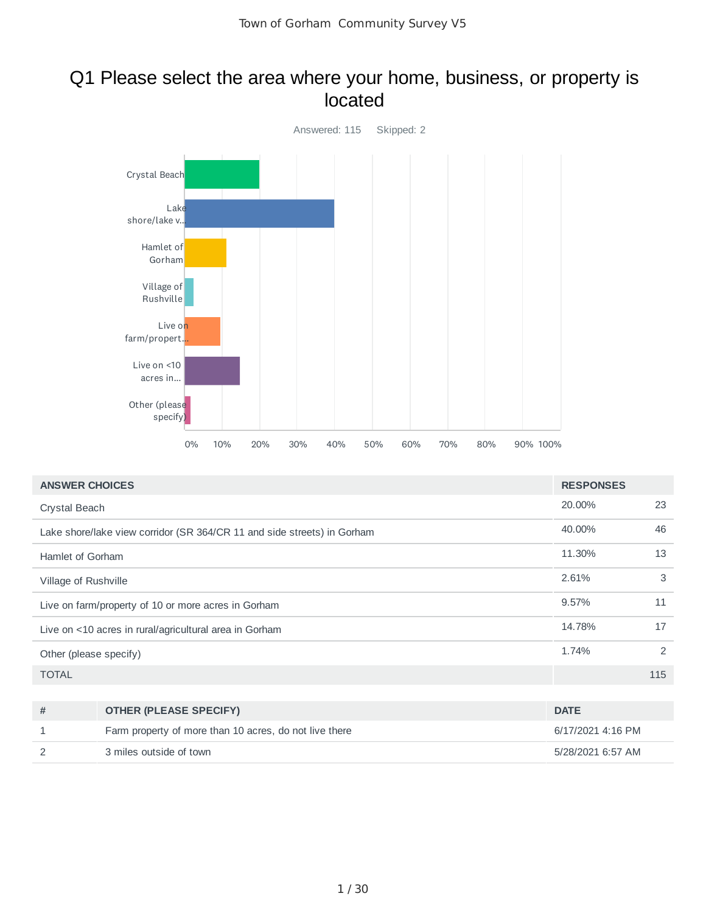### Q1 Please select the area where your home, business, or property is located



| <b>ANSWER CHOICES</b>                                                   | <b>RESPONSES</b> |     |
|-------------------------------------------------------------------------|------------------|-----|
| Crystal Beach                                                           | 20.00%           | 23  |
| Lake shore/lake view corridor (SR 364/CR 11 and side streets) in Gorham | 40.00%           | 46  |
| Hamlet of Gorham                                                        | 11.30%           | 13  |
| Village of Rushville                                                    | 2.61%            | 3   |
| Live on farm/property of 10 or more acres in Gorham                     | 9.57%            | 11  |
| Live on <10 acres in rural/agricultural area in Gorham                  | 14.78%           | 17  |
| Other (please specify)                                                  | 1.74%            | 2   |
| <b>TOTAL</b>                                                            |                  | 115 |

| # | <b>OTHER (PLEASE SPECIFY)</b>                          | <b>DATE</b>       |
|---|--------------------------------------------------------|-------------------|
|   | Farm property of more than 10 acres, do not live there | 6/17/2021 4:16 PM |
|   | 3 miles outside of town                                | 5/28/2021 6:57 AM |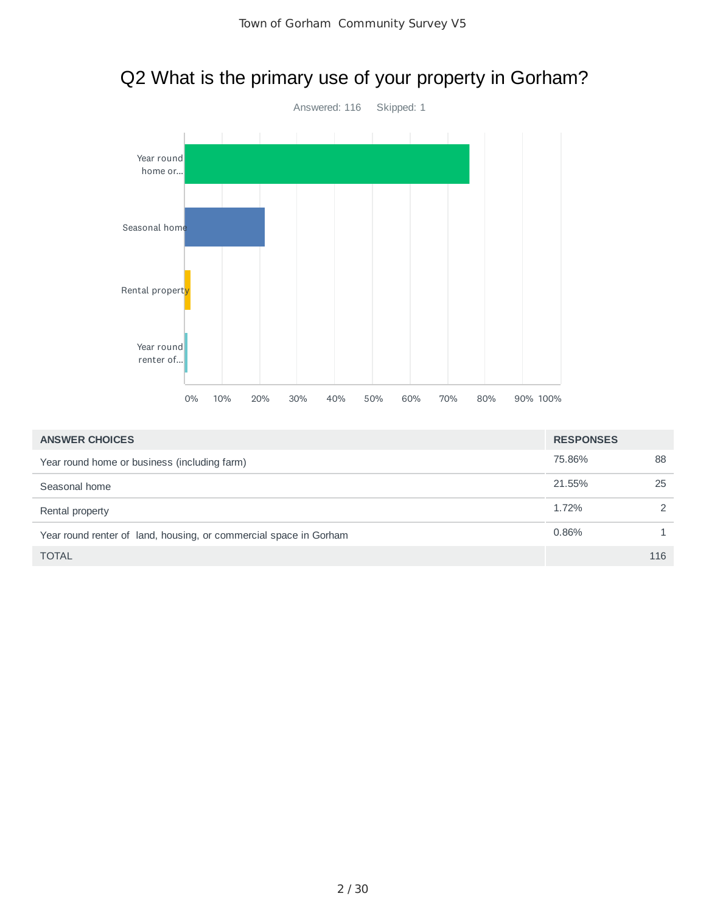

| <b>ANSWER CHOICES</b>                                             | <b>RESPONSES</b> |               |
|-------------------------------------------------------------------|------------------|---------------|
| Year round home or business (including farm)                      | 75.86%           | 88            |
| Seasonal home                                                     | 21.55%           | 25            |
| Rental property                                                   | 1.72%            | $\mathcal{P}$ |
| Year round renter of land, housing, or commercial space in Gorham | 0.86%            |               |
| <b>TOTAL</b>                                                      |                  | 116           |

# Q2 What is the primary use of your property in Gorham?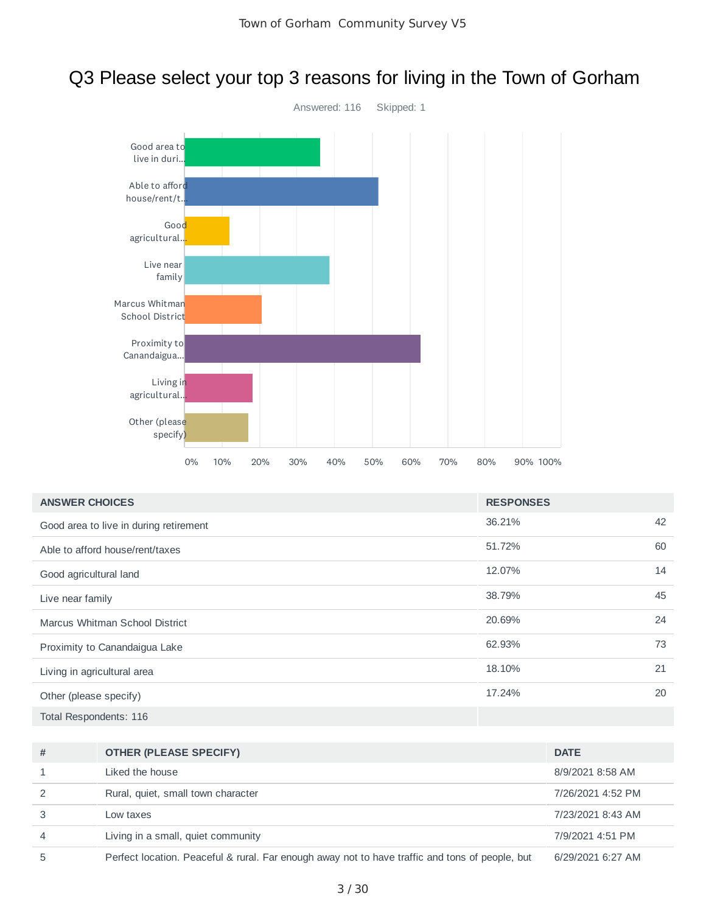# Q3 Please select your top 3 reasons for living in the Town of Gorham



| <b>ANSWER CHOICES</b>                  | <b>RESPONSES</b> |    |
|----------------------------------------|------------------|----|
| Good area to live in during retirement | 36.21%           | 42 |
| Able to afford house/rent/taxes        | 51.72%           | 60 |
| Good agricultural land                 | 12.07%           | 14 |
| Live near family                       | 38.79%           | 45 |
| Marcus Whitman School District         | 20.69%           | 24 |
| Proximity to Canandaigua Lake          | 62.93%           | 73 |
| Living in agricultural area            | 18.10%           | 21 |
| Other (please specify)                 | 17.24%           | 20 |
| Total Respondents: 116                 |                  |    |

| # | <b>OTHER (PLEASE SPECIFY)</b>                                                                   | <b>DATE</b>       |
|---|-------------------------------------------------------------------------------------------------|-------------------|
|   | Liked the house                                                                                 | 8/9/2021 8:58 AM  |
| 2 | Rural, quiet, small town character                                                              | 7/26/2021 4:52 PM |
| 3 | Low taxes                                                                                       | 7/23/2021 8:43 AM |
| 4 | Living in a small, quiet community                                                              | 7/9/2021 4:51 PM  |
| 5 | Perfect location. Peaceful & rural. Far enough away not to have traffic and tons of people, but | 6/29/2021 6:27 AM |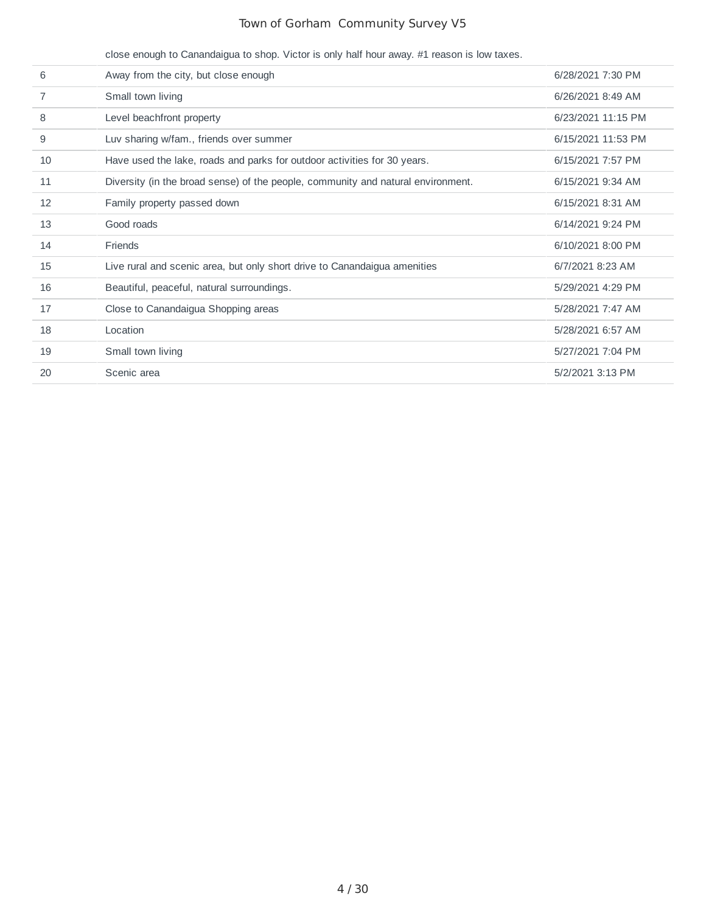|    | close enough to Canandaigua to shop. Victor is only half hour away. #1 reason is low taxes. |                    |
|----|---------------------------------------------------------------------------------------------|--------------------|
| 6  | Away from the city, but close enough                                                        | 6/28/2021 7:30 PM  |
| 7  | Small town living                                                                           | 6/26/2021 8:49 AM  |
| 8  | Level beachfront property                                                                   | 6/23/2021 11:15 PM |
| 9  | Luv sharing w/fam., friends over summer                                                     | 6/15/2021 11:53 PM |
| 10 | Have used the lake, roads and parks for outdoor activities for 30 years.                    | 6/15/2021 7:57 PM  |
| 11 | Diversity (in the broad sense) of the people, community and natural environment.            | 6/15/2021 9:34 AM  |
| 12 | Family property passed down                                                                 | 6/15/2021 8:31 AM  |
| 13 | Good roads                                                                                  | 6/14/2021 9:24 PM  |
| 14 | <b>Friends</b>                                                                              | 6/10/2021 8:00 PM  |
| 15 | Live rural and scenic area, but only short drive to Canandaigua amenities                   | 6/7/2021 8:23 AM   |
| 16 | Beautiful, peaceful, natural surroundings.                                                  | 5/29/2021 4:29 PM  |
| 17 | Close to Canandaigua Shopping areas                                                         | 5/28/2021 7:47 AM  |
| 18 | Location                                                                                    | 5/28/2021 6:57 AM  |
| 19 | Small town living                                                                           | 5/27/2021 7:04 PM  |
| 20 | Scenic area                                                                                 | 5/2/2021 3:13 PM   |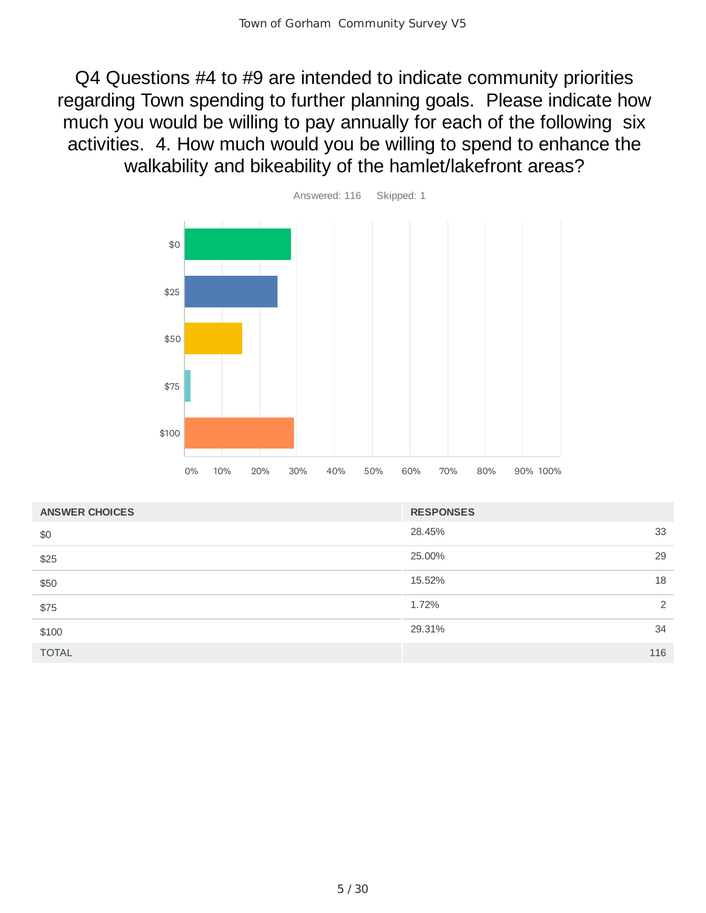Q4 Questions #4 to #9 are intended to indicate community priorities regarding Town spending to further planning goals. Please indicate how much you would be willing to pay annually for each of the following six activities. 4. How much would you be willing to spend to enhance the walkability and bikeability of the hamlet/lakefront areas?



| <b>ANSWER CHOICES</b> | <b>RESPONSES</b> |
|-----------------------|------------------|
| \$0                   | 33<br>28.45%     |
| \$25                  | 29<br>25.00%     |
| \$50                  | 18<br>15.52%     |
| \$75                  | 2<br>1.72%       |
| \$100                 | 29.31%<br>34     |
| <b>TOTAL</b>          | 116              |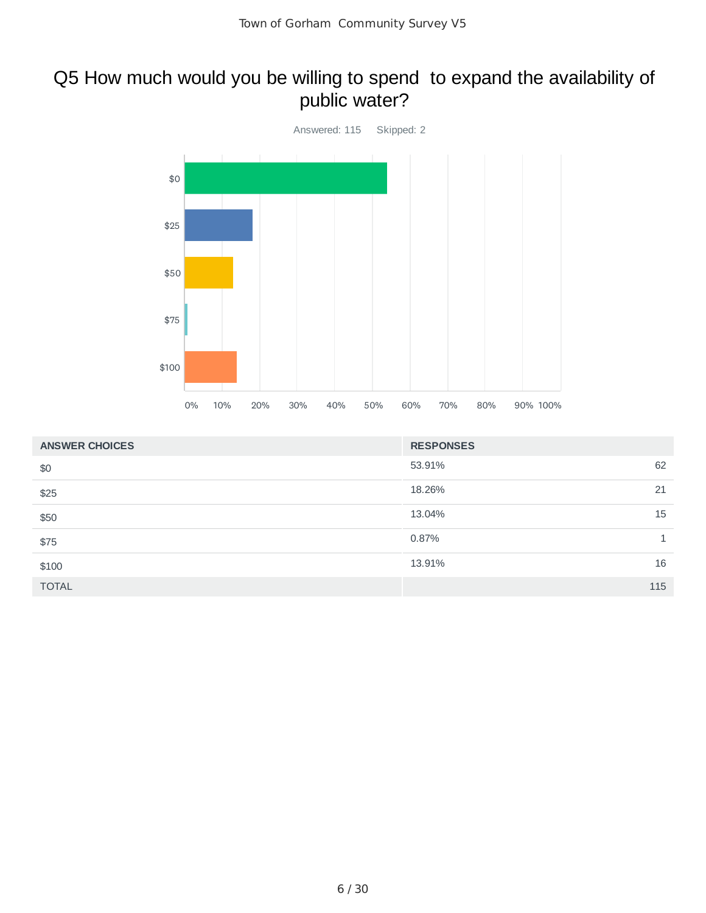### Q5 How much would you be willing to spend to expand the availability of public water?



| <b>ANSWER CHOICES</b> | <b>RESPONSES</b> |
|-----------------------|------------------|
| \$0                   | 62<br>53.91%     |
| \$25                  | 18.26%<br>21     |
| \$50                  | 15<br>13.04%     |
| \$75                  | 0.87%            |
| \$100                 | 16<br>13.91%     |
| <b>TOTAL</b>          | 115              |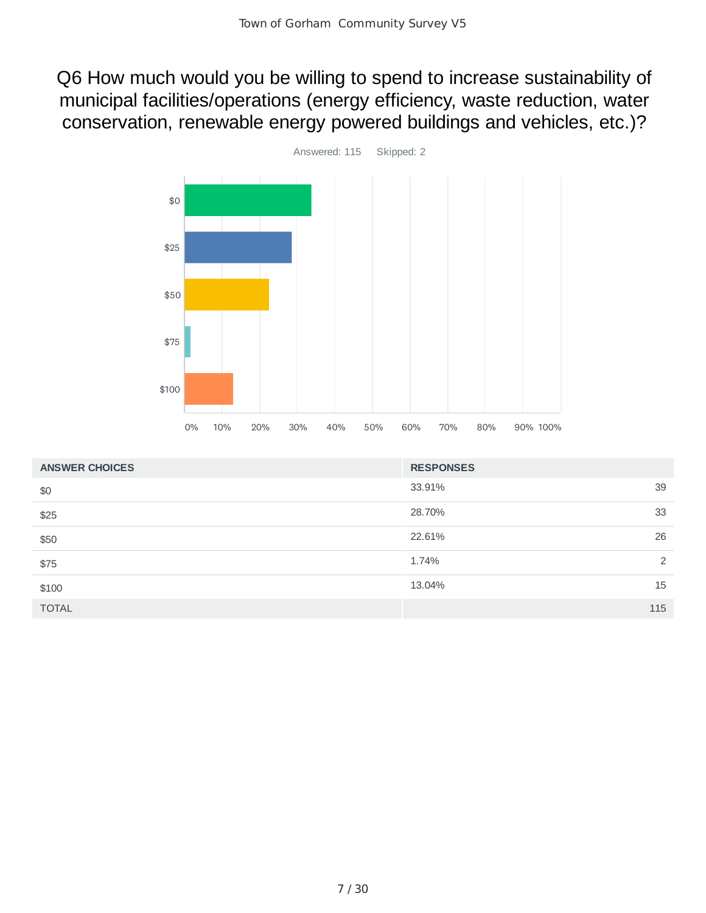Q6 How much would you be willing to spend to increase sustainability of municipal facilities/operations (energy efficiency, waste reduction, water conservation, renewable energy powered buildings and vehicles, etc.)?



| <b>ANSWER CHOICES</b> | <b>RESPONSES</b> |     |
|-----------------------|------------------|-----|
| \$0                   | 33.91%           | 39  |
| \$25                  | 28.70%           | 33  |
| \$50                  | 22.61%           | 26  |
| \$75                  | 1.74%            | 2   |
| \$100                 | 13.04%           | 15  |
| <b>TOTAL</b>          |                  | 115 |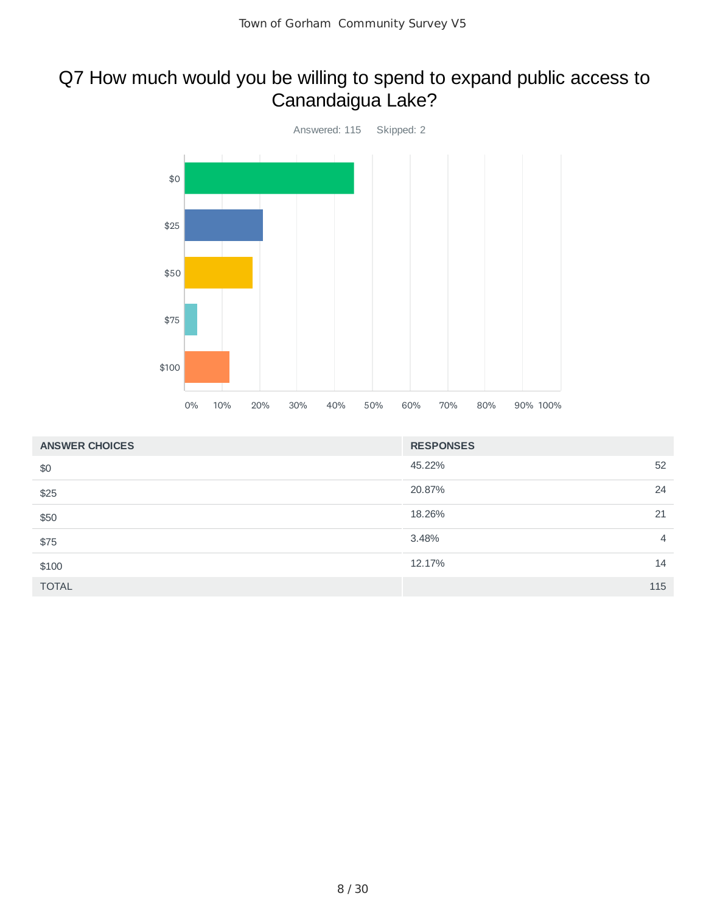# Q7 How much would you be willing to spend to expand public access to Canandaigua Lake?



| <b>ANSWER CHOICES</b> | <b>RESPONSES</b> |                |
|-----------------------|------------------|----------------|
| \$0                   | 45.22%           | 52             |
| \$25                  | 20.87%           | 24             |
| \$50                  | 18.26%           | 21             |
| \$75                  | 3.48%            | $\overline{4}$ |
| \$100                 | 12.17%           | 14             |
| <b>TOTAL</b>          | 115              |                |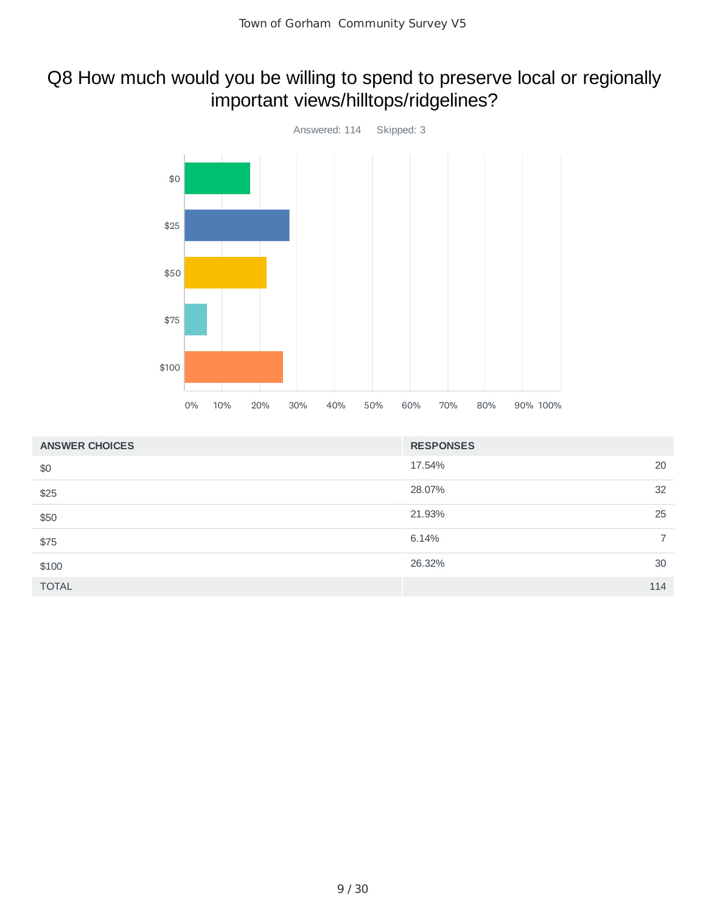# Q8 How much would you be willing to spend to preserve local or regionally important views/hilltops/ridgelines?



| <b>ANSWER CHOICES</b> | <b>RESPONSES</b> |
|-----------------------|------------------|
| \$0                   | 17.54%<br>20     |
| \$25                  | 28.07%<br>32     |
| \$50                  | 21.93%<br>25     |
| \$75                  | 6.14%            |
| \$100                 | 26.32%<br>30     |
| <b>TOTAL</b>          | 114              |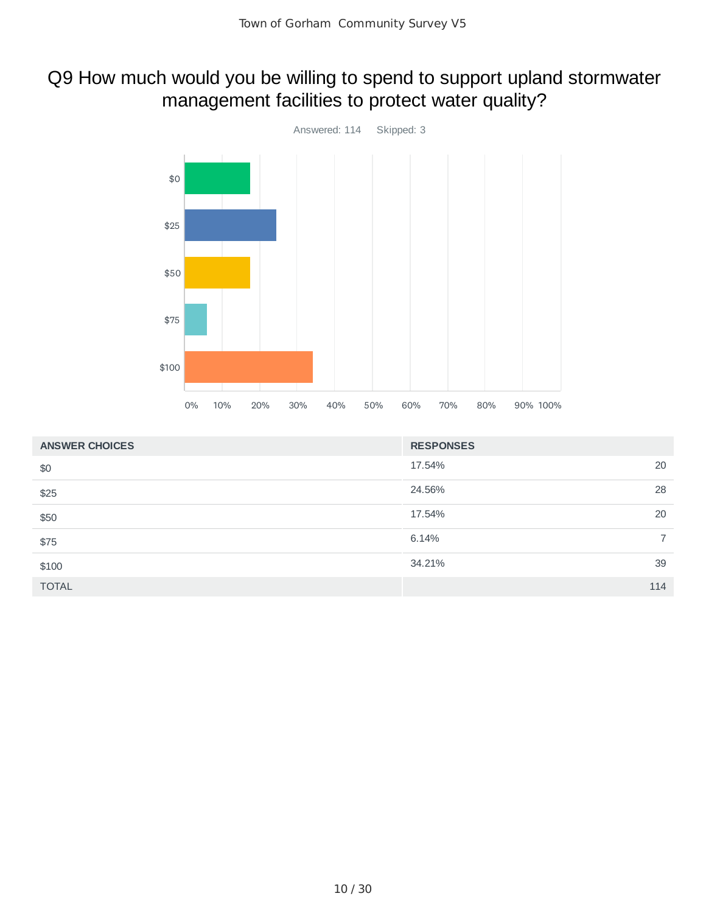# Q9 How much would you be willing to spend to support upland stormwater management facilities to protect water quality?



| <b>ANSWER CHOICES</b> | <b>RESPONSES</b> |
|-----------------------|------------------|
| \$0                   | 17.54%<br>20     |
| \$25                  | 24.56%<br>28     |
| \$50                  | 17.54%<br>20     |
| \$75                  | 6.14%<br>7       |
| \$100                 | 39<br>34.21%     |
| <b>TOTAL</b>          | 114              |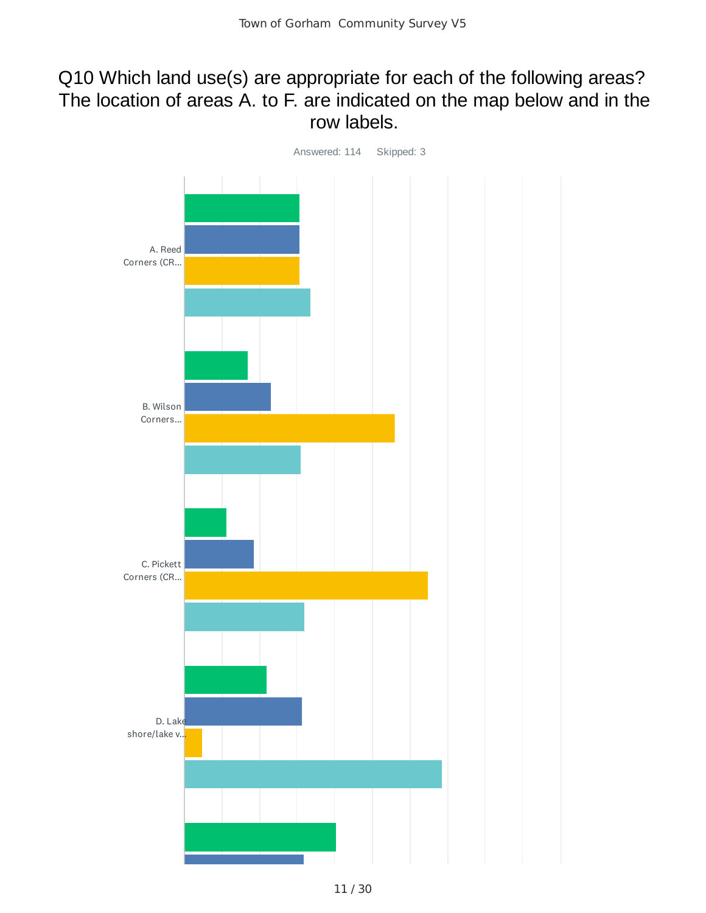### Q10 Which land use(s) are appropriate for each of the following areas? The location of areas A. to F. are indicated on the map below and in the row labels.

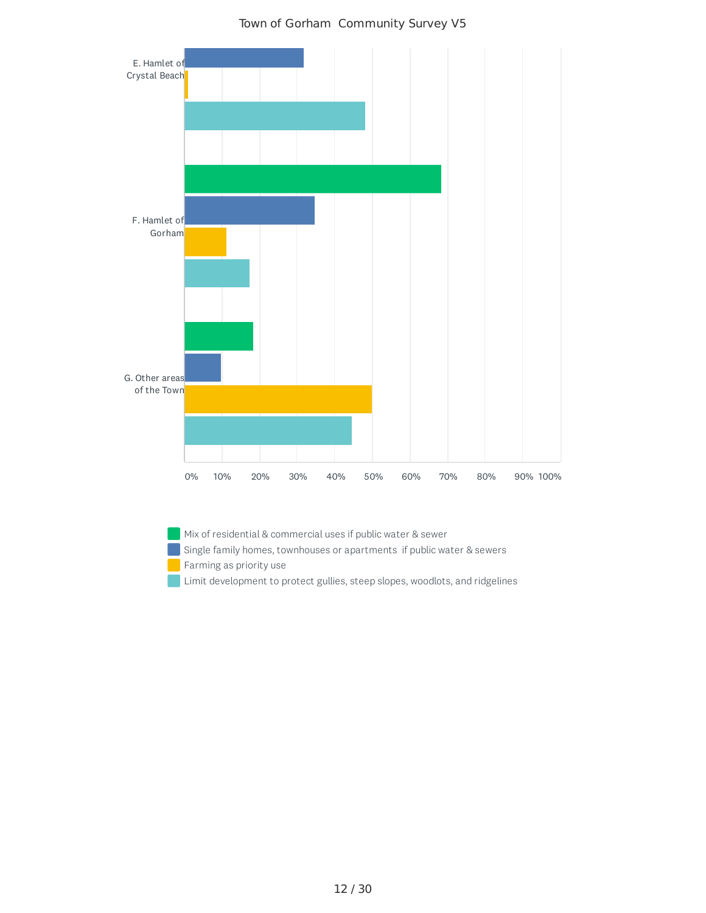

 $\blacksquare$  Mix of residential & commercial uses if public water & sewer

Single family homes, townhouses or apartments if public water & sewers

- Farming as priority use
- Limit development to protect gullies, steep slopes, woodlots, and ridgelines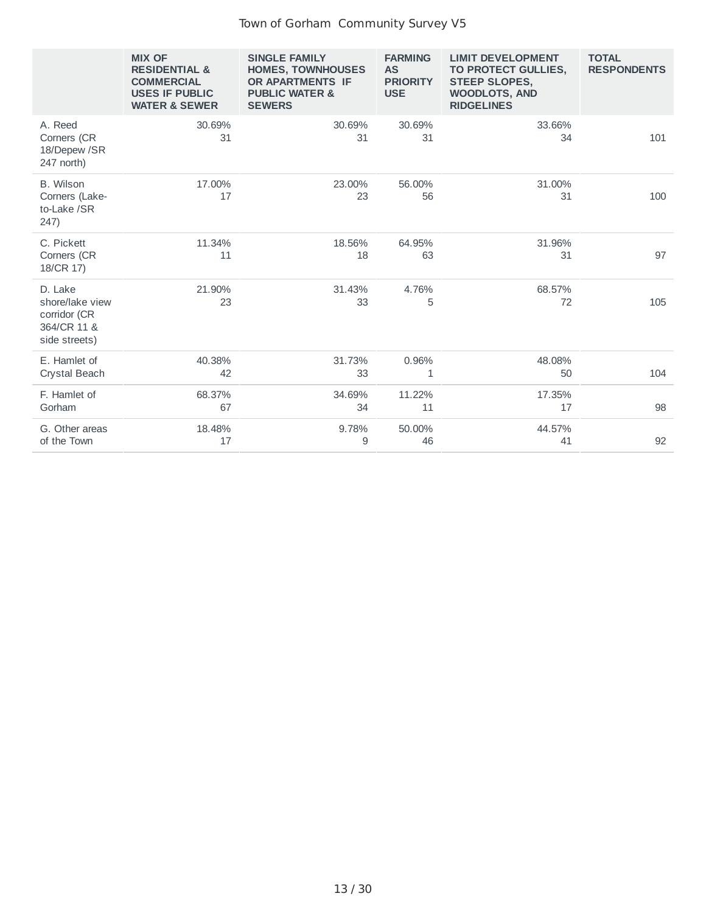|                                                                            | <b>MIX OF</b><br><b>RESIDENTIAL &amp;</b><br><b>COMMERCIAL</b><br><b>USES IF PUBLIC</b><br><b>WATER &amp; SEWER</b> | <b>SINGLE FAMILY</b><br><b>HOMES, TOWNHOUSES</b><br>OR APARTMENTS IF<br><b>PUBLIC WATER &amp;</b><br><b>SEWERS</b> | <b>FARMING</b><br><b>AS</b><br><b>PRIORITY</b><br><b>USE</b> | <b>LIMIT DEVELOPMENT</b><br>TO PROTECT GULLIES,<br><b>STEEP SLOPES,</b><br><b>WOODLOTS, AND</b><br><b>RIDGELINES</b> | <b>TOTAL</b><br><b>RESPONDENTS</b> |
|----------------------------------------------------------------------------|---------------------------------------------------------------------------------------------------------------------|--------------------------------------------------------------------------------------------------------------------|--------------------------------------------------------------|----------------------------------------------------------------------------------------------------------------------|------------------------------------|
| A. Reed<br>Corners (CR<br>18/Depew /SR<br>247 north)                       | 30.69%<br>31                                                                                                        | 30.69%<br>31                                                                                                       | 30.69%<br>31                                                 | 33.66%<br>34                                                                                                         | 101                                |
| B. Wilson<br>Corners (Lake-<br>to-Lake /SR<br>247)                         | 17.00%<br>17                                                                                                        | 23.00%<br>23                                                                                                       | 56.00%<br>56                                                 | 31.00%<br>31                                                                                                         | 100                                |
| C. Pickett<br>Corners (CR<br>18/CR 17)                                     | 11.34%<br>11                                                                                                        | 18.56%<br>18                                                                                                       | 64.95%<br>63                                                 | 31.96%<br>31                                                                                                         | 97                                 |
| D. Lake<br>shore/lake view<br>corridor (CR<br>364/CR 11 &<br>side streets) | 21.90%<br>23                                                                                                        | 31.43%<br>33                                                                                                       | 4.76%<br>5                                                   | 68.57%<br>72                                                                                                         | 105                                |
| E. Hamlet of<br>Crystal Beach                                              | 40.38%<br>42                                                                                                        | 31.73%<br>33                                                                                                       | 0.96%<br>1                                                   | 48.08%<br>50                                                                                                         | 104                                |
| F. Hamlet of<br>Gorham                                                     | 68.37%<br>67                                                                                                        | 34.69%<br>34                                                                                                       | 11.22%<br>11                                                 | 17.35%<br>17                                                                                                         | 98                                 |
| G. Other areas<br>of the Town                                              | 18.48%<br>17                                                                                                        | 9.78%<br>9                                                                                                         | 50.00%<br>46                                                 | 44.57%<br>41                                                                                                         | 92                                 |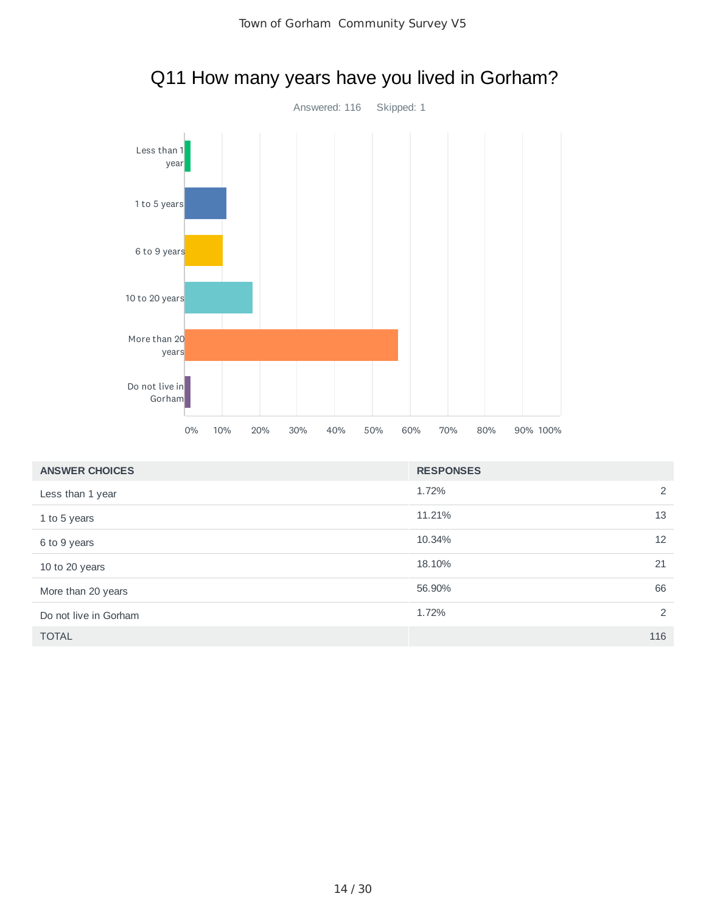

# Q11 How many years have you lived in Gorham?

| <b>ANSWER CHOICES</b> | <b>RESPONSES</b> |
|-----------------------|------------------|
| Less than 1 year      | 1.72%<br>2       |
| 1 to 5 years          | 13<br>11.21%     |
| 6 to 9 years          | 12<br>10.34%     |
| 10 to 20 years        | 21<br>18.10%     |
| More than 20 years    | 66<br>56.90%     |
| Do not live in Gorham | 2<br>1.72%       |
| <b>TOTAL</b>          | 116              |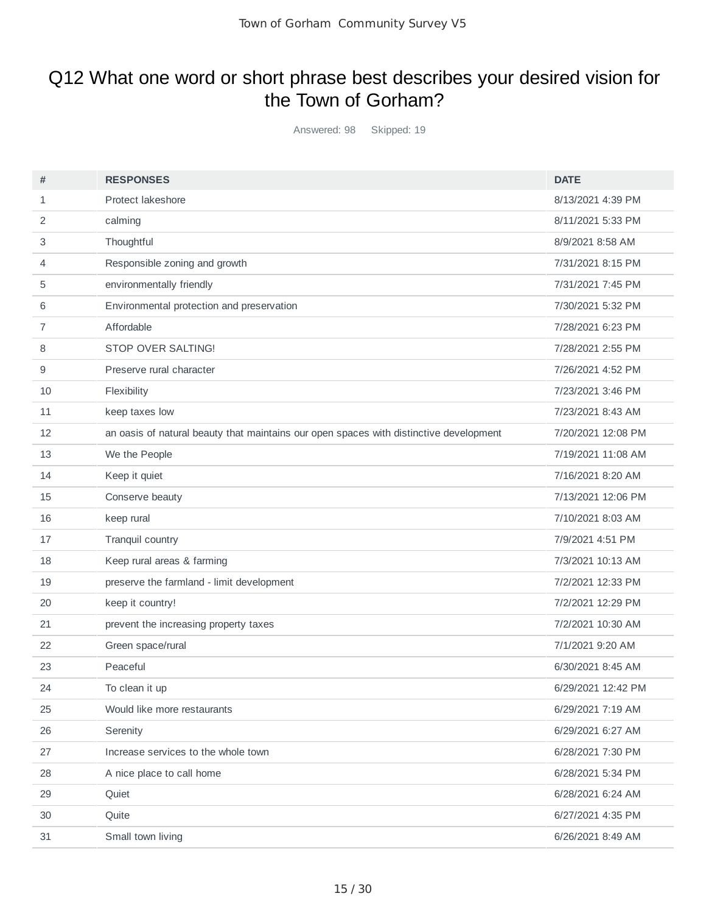### Q12 What one word or short phrase best describes your desired vision for the Town of Gorham?

Answered: 98 Skipped: 19

| #              | <b>RESPONSES</b>                                                                       | <b>DATE</b>        |
|----------------|----------------------------------------------------------------------------------------|--------------------|
| 1              | Protect lakeshore                                                                      | 8/13/2021 4:39 PM  |
| $\overline{2}$ | calming                                                                                | 8/11/2021 5:33 PM  |
| 3              | Thoughtful                                                                             | 8/9/2021 8:58 AM   |
| 4              | Responsible zoning and growth                                                          | 7/31/2021 8:15 PM  |
| 5              | environmentally friendly                                                               | 7/31/2021 7:45 PM  |
| 6              | Environmental protection and preservation                                              | 7/30/2021 5:32 PM  |
| $\overline{7}$ | Affordable                                                                             | 7/28/2021 6:23 PM  |
| 8              | STOP OVER SALTING!                                                                     | 7/28/2021 2:55 PM  |
| 9              | Preserve rural character                                                               | 7/26/2021 4:52 PM  |
| 10             | Flexibility                                                                            | 7/23/2021 3:46 PM  |
| 11             | keep taxes low                                                                         | 7/23/2021 8:43 AM  |
| 12             | an oasis of natural beauty that maintains our open spaces with distinctive development | 7/20/2021 12:08 PM |
| 13             | We the People                                                                          | 7/19/2021 11:08 AM |
| 14             | Keep it quiet                                                                          | 7/16/2021 8:20 AM  |
| 15             | Conserve beauty                                                                        | 7/13/2021 12:06 PM |
| 16             | keep rural                                                                             | 7/10/2021 8:03 AM  |
| 17             | Tranquil country                                                                       | 7/9/2021 4:51 PM   |
| 18             | Keep rural areas & farming                                                             | 7/3/2021 10:13 AM  |
| 19             | preserve the farmland - limit development                                              | 7/2/2021 12:33 PM  |
| 20             | keep it country!                                                                       | 7/2/2021 12:29 PM  |
| 21             | prevent the increasing property taxes                                                  | 7/2/2021 10:30 AM  |
| 22             | Green space/rural                                                                      | 7/1/2021 9:20 AM   |
| 23             | Peaceful                                                                               | 6/30/2021 8:45 AM  |
| 24             | To clean it up                                                                         | 6/29/2021 12:42 PM |
| 25             | Would like more restaurants                                                            | 6/29/2021 7:19 AM  |
| 26             | Serenity                                                                               | 6/29/2021 6:27 AM  |
| 27             | Increase services to the whole town                                                    | 6/28/2021 7:30 PM  |
| 28             | A nice place to call home                                                              | 6/28/2021 5:34 PM  |
| 29             | Quiet                                                                                  | 6/28/2021 6:24 AM  |
| 30             | Quite                                                                                  | 6/27/2021 4:35 PM  |
| 31             | Small town living                                                                      | 6/26/2021 8:49 AM  |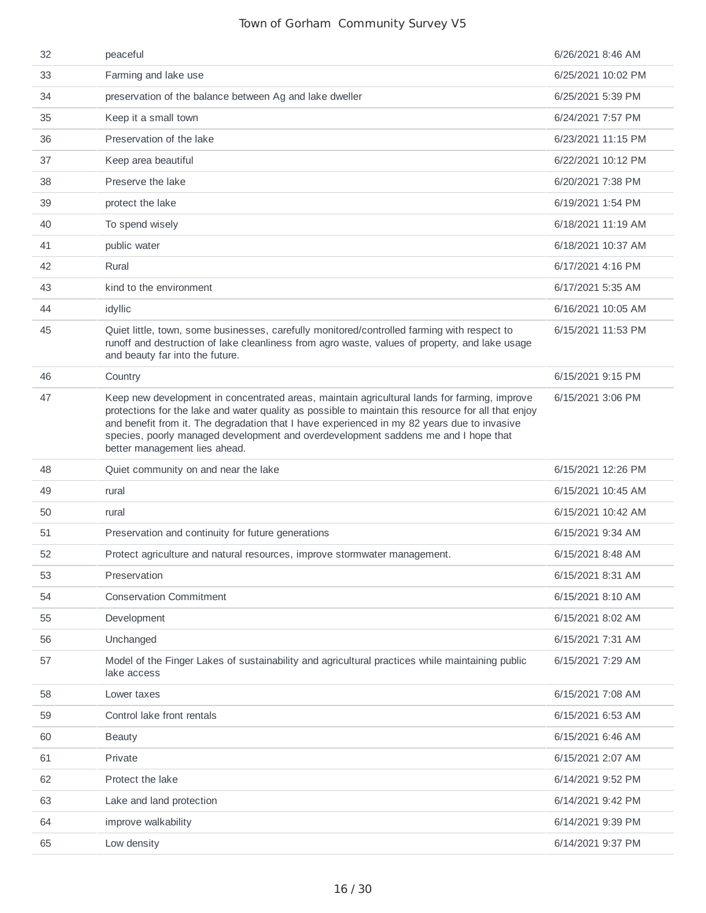| 32 | peaceful                                                                                                                                                                                                                                                                                                                                                                                                                  | 6/26/2021 8:46 AM  |
|----|---------------------------------------------------------------------------------------------------------------------------------------------------------------------------------------------------------------------------------------------------------------------------------------------------------------------------------------------------------------------------------------------------------------------------|--------------------|
| 33 | Farming and lake use                                                                                                                                                                                                                                                                                                                                                                                                      | 6/25/2021 10:02 PM |
| 34 | preservation of the balance between Ag and lake dweller                                                                                                                                                                                                                                                                                                                                                                   | 6/25/2021 5:39 PM  |
| 35 | Keep it a small town                                                                                                                                                                                                                                                                                                                                                                                                      | 6/24/2021 7:57 PM  |
| 36 | Preservation of the lake                                                                                                                                                                                                                                                                                                                                                                                                  | 6/23/2021 11:15 PM |
| 37 | Keep area beautiful                                                                                                                                                                                                                                                                                                                                                                                                       | 6/22/2021 10:12 PM |
| 38 | Preserve the lake                                                                                                                                                                                                                                                                                                                                                                                                         | 6/20/2021 7:38 PM  |
| 39 | protect the lake                                                                                                                                                                                                                                                                                                                                                                                                          | 6/19/2021 1:54 PM  |
| 40 | To spend wisely                                                                                                                                                                                                                                                                                                                                                                                                           | 6/18/2021 11:19 AM |
| 41 | public water                                                                                                                                                                                                                                                                                                                                                                                                              | 6/18/2021 10:37 AM |
| 42 | Rural                                                                                                                                                                                                                                                                                                                                                                                                                     | 6/17/2021 4:16 PM  |
| 43 | kind to the environment                                                                                                                                                                                                                                                                                                                                                                                                   | 6/17/2021 5:35 AM  |
| 44 | idyllic                                                                                                                                                                                                                                                                                                                                                                                                                   | 6/16/2021 10:05 AM |
| 45 | Quiet little, town, some businesses, carefully monitored/controlled farming with respect to<br>runoff and destruction of lake cleanliness from agro waste, values of property, and lake usage<br>and beauty far into the future.                                                                                                                                                                                          | 6/15/2021 11:53 PM |
| 46 | Country                                                                                                                                                                                                                                                                                                                                                                                                                   | 6/15/2021 9:15 PM  |
| 47 | Keep new development in concentrated areas, maintain agricultural lands for farming, improve<br>protections for the lake and water quality as possible to maintain this resource for all that enjoy<br>and benefit from it. The degradation that I have experienced in my 82 years due to invasive<br>species, poorly managed development and overdevelopment saddens me and I hope that<br>better management lies ahead. | 6/15/2021 3:06 PM  |
| 48 | Quiet community on and near the lake                                                                                                                                                                                                                                                                                                                                                                                      | 6/15/2021 12:26 PM |
| 49 | rural                                                                                                                                                                                                                                                                                                                                                                                                                     | 6/15/2021 10:45 AM |
| 50 | rural                                                                                                                                                                                                                                                                                                                                                                                                                     | 6/15/2021 10:42 AM |
| 51 | Preservation and continuity for future generations                                                                                                                                                                                                                                                                                                                                                                        | 6/15/2021 9:34 AM  |
| 52 | Protect agriculture and natural resources, improve stormwater management.                                                                                                                                                                                                                                                                                                                                                 | 6/15/2021 8:48 AM  |
| 53 | Preservation                                                                                                                                                                                                                                                                                                                                                                                                              | 6/15/2021 8:31 AM  |
| 54 | <b>Conservation Commitment</b>                                                                                                                                                                                                                                                                                                                                                                                            | 6/15/2021 8:10 AM  |
| 55 | Development                                                                                                                                                                                                                                                                                                                                                                                                               | 6/15/2021 8:02 AM  |
| 56 | Unchanged                                                                                                                                                                                                                                                                                                                                                                                                                 | 6/15/2021 7:31 AM  |
| 57 | Model of the Finger Lakes of sustainability and agricultural practices while maintaining public<br>lake access                                                                                                                                                                                                                                                                                                            | 6/15/2021 7:29 AM  |
| 58 | Lower taxes                                                                                                                                                                                                                                                                                                                                                                                                               | 6/15/2021 7:08 AM  |
| 59 | Control lake front rentals                                                                                                                                                                                                                                                                                                                                                                                                | 6/15/2021 6:53 AM  |
| 60 | <b>Beauty</b>                                                                                                                                                                                                                                                                                                                                                                                                             | 6/15/2021 6:46 AM  |
| 61 | Private                                                                                                                                                                                                                                                                                                                                                                                                                   | 6/15/2021 2:07 AM  |
| 62 | Protect the lake                                                                                                                                                                                                                                                                                                                                                                                                          | 6/14/2021 9:52 PM  |
| 63 | Lake and land protection                                                                                                                                                                                                                                                                                                                                                                                                  | 6/14/2021 9:42 PM  |
| 64 | improve walkability                                                                                                                                                                                                                                                                                                                                                                                                       | 6/14/2021 9:39 PM  |
| 65 | Low density                                                                                                                                                                                                                                                                                                                                                                                                               | 6/14/2021 9:37 PM  |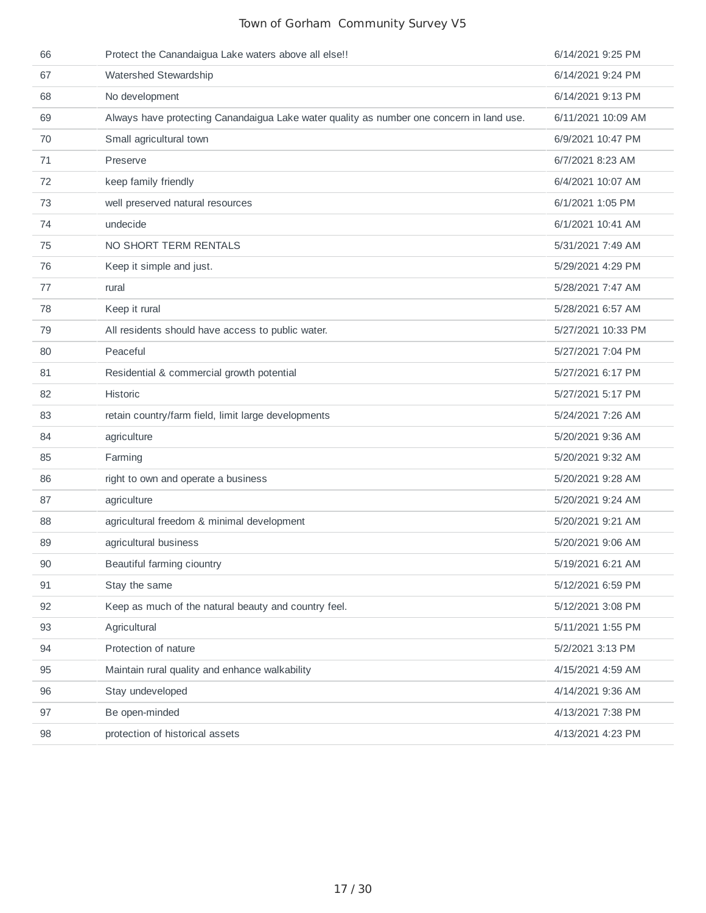| 66 | Protect the Canandaigua Lake waters above all else!!                                     | 6/14/2021 9:25 PM  |
|----|------------------------------------------------------------------------------------------|--------------------|
| 67 | Watershed Stewardship                                                                    | 6/14/2021 9:24 PM  |
| 68 | No development                                                                           | 6/14/2021 9:13 PM  |
| 69 | Always have protecting Canandaigua Lake water quality as number one concern in land use. | 6/11/2021 10:09 AM |
| 70 | Small agricultural town                                                                  | 6/9/2021 10:47 PM  |
| 71 | Preserve                                                                                 | 6/7/2021 8:23 AM   |
| 72 | keep family friendly                                                                     | 6/4/2021 10:07 AM  |
| 73 | well preserved natural resources                                                         | 6/1/2021 1:05 PM   |
| 74 | undecide                                                                                 | 6/1/2021 10:41 AM  |
| 75 | NO SHORT TERM RENTALS                                                                    | 5/31/2021 7:49 AM  |
| 76 | Keep it simple and just.                                                                 | 5/29/2021 4:29 PM  |
| 77 | rural                                                                                    | 5/28/2021 7:47 AM  |
| 78 | Keep it rural                                                                            | 5/28/2021 6:57 AM  |
| 79 | All residents should have access to public water.                                        | 5/27/2021 10:33 PM |
| 80 | Peaceful                                                                                 | 5/27/2021 7:04 PM  |
| 81 | Residential & commercial growth potential                                                | 5/27/2021 6:17 PM  |
| 82 | <b>Historic</b>                                                                          | 5/27/2021 5:17 PM  |
| 83 | retain country/farm field, limit large developments                                      | 5/24/2021 7:26 AM  |
| 84 | agriculture                                                                              | 5/20/2021 9:36 AM  |
| 85 | Farming                                                                                  | 5/20/2021 9:32 AM  |
| 86 | right to own and operate a business                                                      | 5/20/2021 9:28 AM  |
| 87 | agriculture                                                                              | 5/20/2021 9:24 AM  |
| 88 | agricultural freedom & minimal development                                               | 5/20/2021 9:21 AM  |
| 89 | agricultural business                                                                    | 5/20/2021 9:06 AM  |
| 90 | Beautiful farming ciountry                                                               | 5/19/2021 6:21 AM  |
| 91 | Stay the same                                                                            | 5/12/2021 6:59 PM  |
| 92 | Keep as much of the natural beauty and country feel.                                     | 5/12/2021 3:08 PM  |
| 93 | Agricultural                                                                             | 5/11/2021 1:55 PM  |
| 94 | Protection of nature                                                                     | 5/2/2021 3:13 PM   |
| 95 | Maintain rural quality and enhance walkability                                           | 4/15/2021 4:59 AM  |
| 96 | Stay undeveloped                                                                         | 4/14/2021 9:36 AM  |
| 97 | Be open-minded                                                                           | 4/13/2021 7:38 PM  |
| 98 | protection of historical assets                                                          | 4/13/2021 4:23 PM  |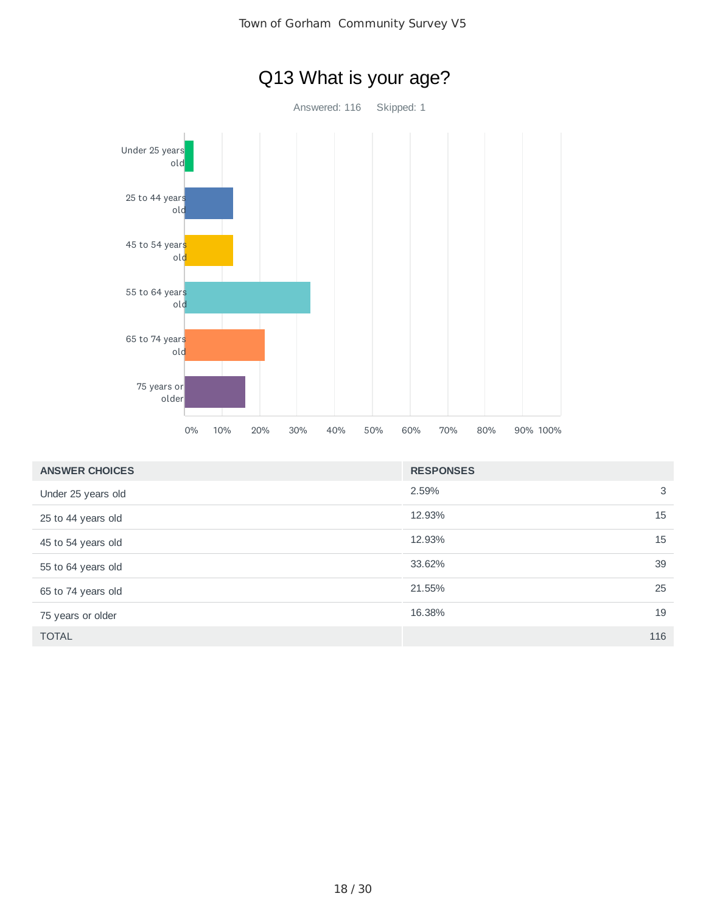

| <b>ANSWER CHOICES</b> | <b>RESPONSES</b> |     |
|-----------------------|------------------|-----|
| Under 25 years old    | 2.59%            | 3   |
| 25 to 44 years old    | 12.93%           | 15  |
| 45 to 54 years old    | 12.93%           | 15  |
| 55 to 64 years old    | 33.62%           | 39  |
| 65 to 74 years old    | 21.55%           | 25  |
| 75 years or older     | 16.38%           | 19  |
| <b>TOTAL</b>          |                  | 116 |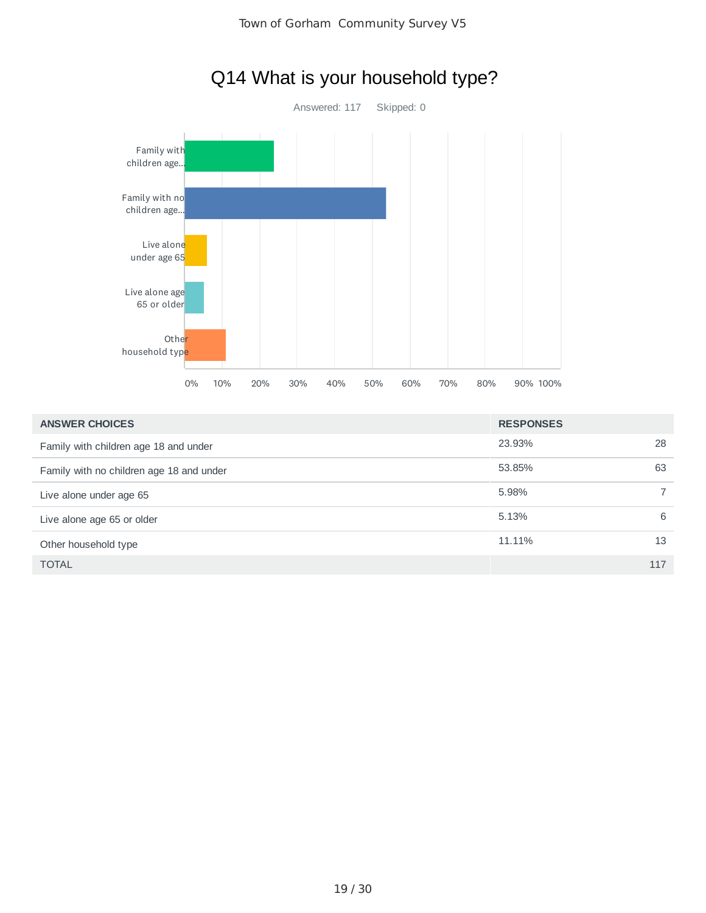

# Q14 What is your household type?

| <b>ANSWER CHOICES</b>                    | <b>RESPONSES</b> |     |
|------------------------------------------|------------------|-----|
| Family with children age 18 and under    | 23.93%           | 28  |
| Family with no children age 18 and under | 53.85%           | 63  |
| Live alone under age 65                  | 5.98%            |     |
| Live alone age 65 or older               | 5.13%            | 6   |
| Other household type                     | 11.11%           | 13  |
| <b>TOTAL</b>                             |                  | 117 |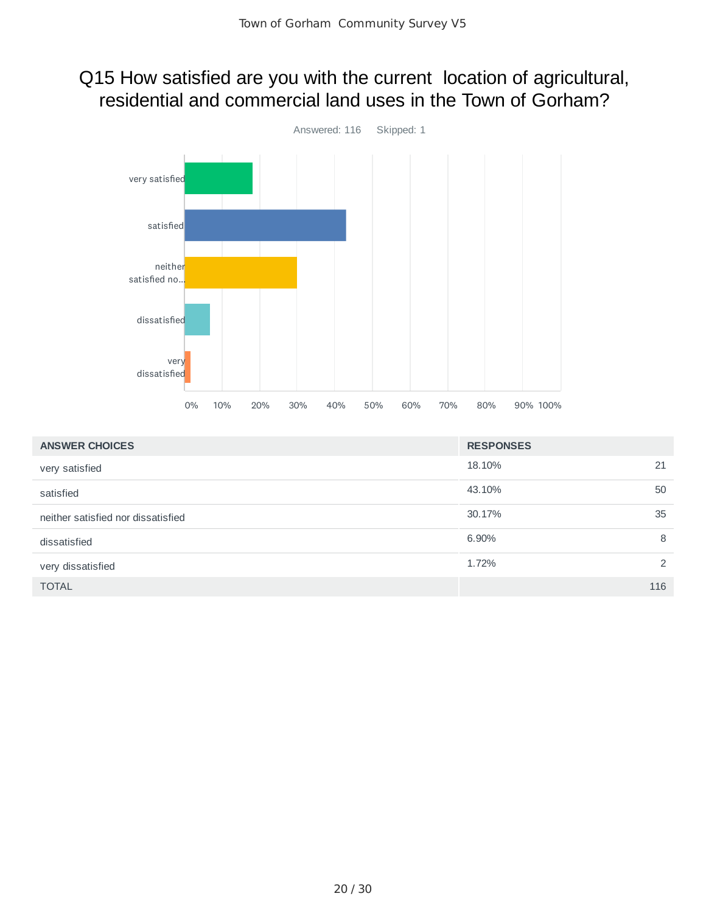### Q15 How satisfied are you with the current location of agricultural, residential and commercial land uses in the Town of Gorham?



| <b>ANSWER CHOICES</b>              | <b>RESPONSES</b> |     |
|------------------------------------|------------------|-----|
| very satisfied                     | 18.10%           | 21  |
| satisfied                          | 43.10%           | 50  |
| neither satisfied nor dissatisfied | 30.17%           | 35  |
| dissatisfied                       | 6.90%            | 8   |
| very dissatisfied                  | 1.72%            | 2   |
| <b>TOTAL</b>                       |                  | 116 |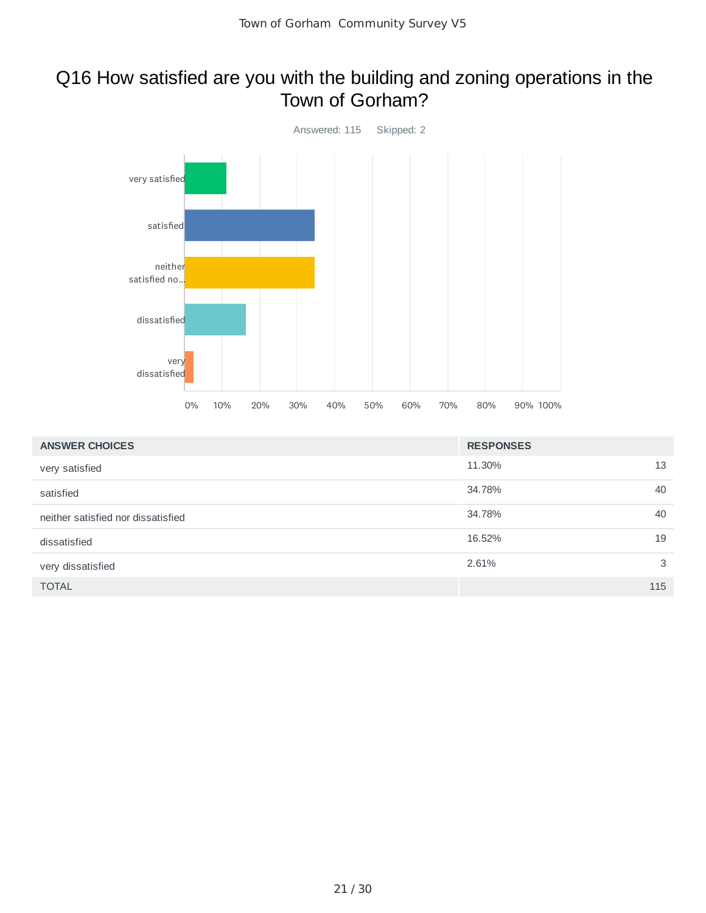### Q16 How satisfied are you with the building and zoning operations in the Town of Gorham?



| <b>ANSWER CHOICES</b>              | <b>RESPONSES</b> |     |
|------------------------------------|------------------|-----|
| very satisfied                     | 11.30%           | 13  |
| satisfied                          | 34.78%           | 40  |
| neither satisfied nor dissatisfied | 34.78%           | 40  |
| dissatisfied                       | 16.52%           | 19  |
| very dissatisfied                  | 2.61%            | 3   |
| <b>TOTAL</b>                       |                  | 115 |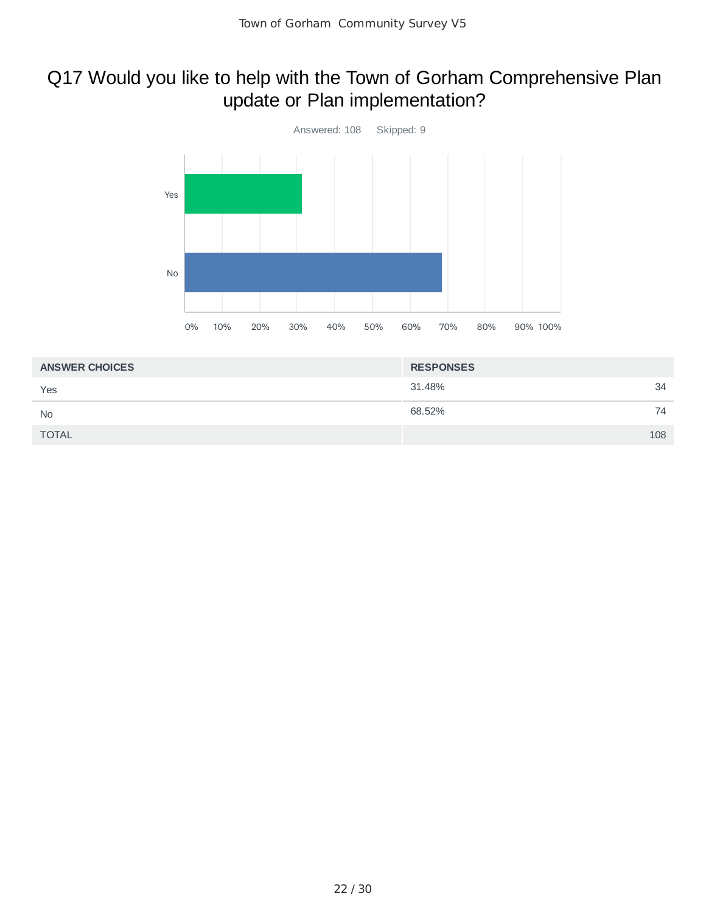# Q17 Would you like to help with the Town of Gorham Comprehensive Plan update or Plan implementation?



| <b>ANSWER CHOICES</b> | <b>RESPONSES</b> |     |
|-----------------------|------------------|-----|
| Yes                   | 31.48%           | 34  |
| <b>No</b>             | 68.52%           | 74  |
| <b>TOTAL</b>          |                  | 108 |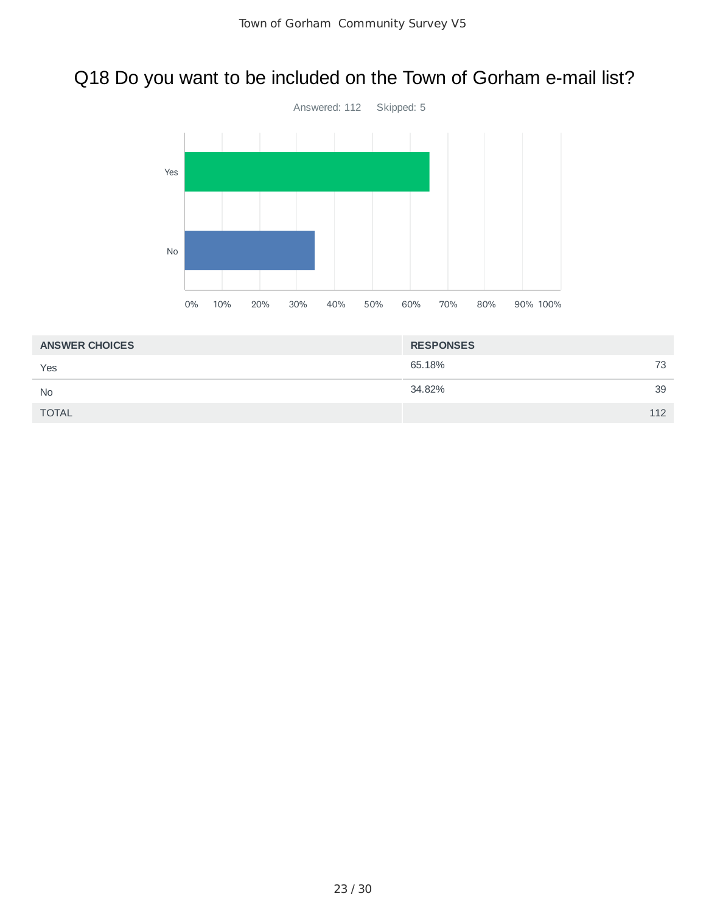# Q18 Do you want to be included on the Town of Gorham e-mail list?



| <b>ANSWER CHOICES</b> | <b>RESPONSES</b> |     |
|-----------------------|------------------|-----|
| Yes                   | 65.18%           | 73  |
| <b>No</b>             | 34.82%           | 39  |
| <b>TOTAL</b>          |                  | 112 |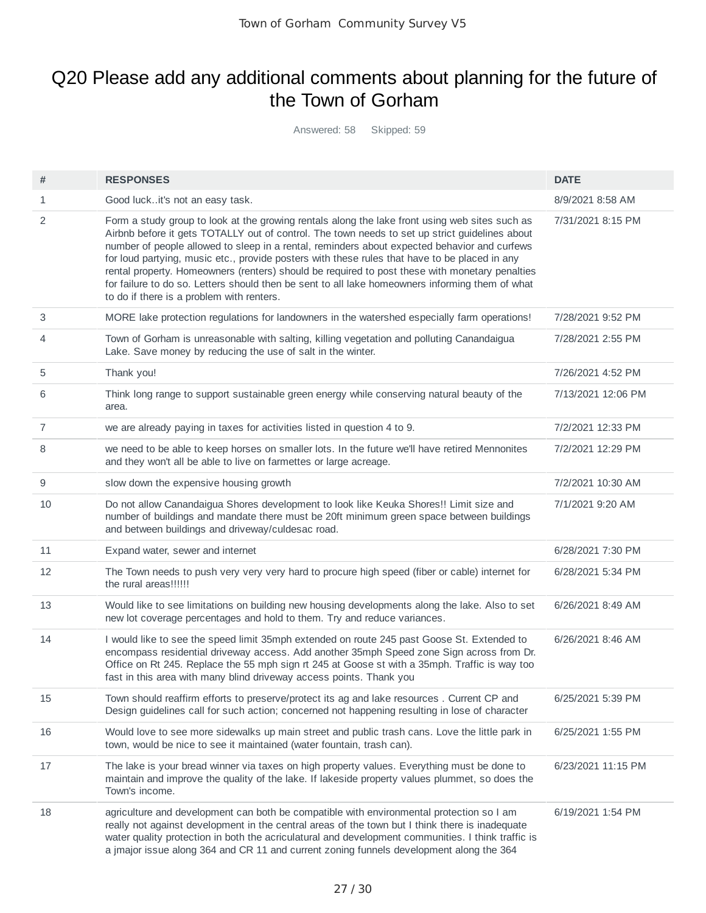### Q20 Please add any additional comments about planning for the future of the Town of Gorham

Answered: 58 Skipped: 59

| #              | <b>RESPONSES</b>                                                                                                                                                                                                                                                                                                                                                                                                                                                                                                                                                                                                                                    | <b>DATE</b>        |
|----------------|-----------------------------------------------------------------------------------------------------------------------------------------------------------------------------------------------------------------------------------------------------------------------------------------------------------------------------------------------------------------------------------------------------------------------------------------------------------------------------------------------------------------------------------------------------------------------------------------------------------------------------------------------------|--------------------|
| 1              | Good luckit's not an easy task.                                                                                                                                                                                                                                                                                                                                                                                                                                                                                                                                                                                                                     | 8/9/2021 8:58 AM   |
| 2              | Form a study group to look at the growing rentals along the lake front using web sites such as<br>Airbnb before it gets TOTALLY out of control. The town needs to set up strict guidelines about<br>number of people allowed to sleep in a rental, reminders about expected behavior and curfews<br>for loud partying, music etc., provide posters with these rules that have to be placed in any<br>rental property. Homeowners (renters) should be required to post these with monetary penalties<br>for failure to do so. Letters should then be sent to all lake homeowners informing them of what<br>to do if there is a problem with renters. | 7/31/2021 8:15 PM  |
| 3              | MORE lake protection regulations for landowners in the watershed especially farm operations!                                                                                                                                                                                                                                                                                                                                                                                                                                                                                                                                                        | 7/28/2021 9:52 PM  |
| 4              | Town of Gorham is unreasonable with salting, killing vegetation and polluting Canandaigua<br>Lake. Save money by reducing the use of salt in the winter.                                                                                                                                                                                                                                                                                                                                                                                                                                                                                            | 7/28/2021 2:55 PM  |
| 5              | Thank you!                                                                                                                                                                                                                                                                                                                                                                                                                                                                                                                                                                                                                                          | 7/26/2021 4:52 PM  |
| 6              | Think long range to support sustainable green energy while conserving natural beauty of the<br>area.                                                                                                                                                                                                                                                                                                                                                                                                                                                                                                                                                | 7/13/2021 12:06 PM |
| $\overline{7}$ | we are already paying in taxes for activities listed in question 4 to 9.                                                                                                                                                                                                                                                                                                                                                                                                                                                                                                                                                                            | 7/2/2021 12:33 PM  |
| 8              | we need to be able to keep horses on smaller lots. In the future we'll have retired Mennonites<br>and they won't all be able to live on farmettes or large acreage.                                                                                                                                                                                                                                                                                                                                                                                                                                                                                 | 7/2/2021 12:29 PM  |
| 9              | slow down the expensive housing growth                                                                                                                                                                                                                                                                                                                                                                                                                                                                                                                                                                                                              | 7/2/2021 10:30 AM  |
| 10             | Do not allow Canandaigua Shores development to look like Keuka Shores!! Limit size and<br>number of buildings and mandate there must be 20ft minimum green space between buildings<br>and between buildings and driveway/culdesac road.                                                                                                                                                                                                                                                                                                                                                                                                             | 7/1/2021 9:20 AM   |
| 11             | Expand water, sewer and internet                                                                                                                                                                                                                                                                                                                                                                                                                                                                                                                                                                                                                    | 6/28/2021 7:30 PM  |
| 12             | The Town needs to push very very very hard to procure high speed (fiber or cable) internet for<br>the rural areas!!!!!!                                                                                                                                                                                                                                                                                                                                                                                                                                                                                                                             | 6/28/2021 5:34 PM  |
| 13             | Would like to see limitations on building new housing developments along the lake. Also to set<br>new lot coverage percentages and hold to them. Try and reduce variances.                                                                                                                                                                                                                                                                                                                                                                                                                                                                          | 6/26/2021 8:49 AM  |
| 14             | I would like to see the speed limit 35mph extended on route 245 past Goose St. Extended to<br>encompass residential driveway access. Add another 35mph Speed zone Sign across from Dr.<br>Office on Rt 245. Replace the 55 mph sign rt 245 at Goose st with a 35mph. Traffic is way too<br>fast in this area with many blind driveway access points. Thank you                                                                                                                                                                                                                                                                                      | 6/26/2021 8:46 AM  |
| 15             | Town should reaffirm efforts to preserve/protect its ag and lake resources. Current CP and<br>Design guidelines call for such action; concerned not happening resulting in lose of character                                                                                                                                                                                                                                                                                                                                                                                                                                                        | 6/25/2021 5:39 PM  |
| 16             | Would love to see more sidewalks up main street and public trash cans. Love the little park in<br>town, would be nice to see it maintained (water fountain, trash can).                                                                                                                                                                                                                                                                                                                                                                                                                                                                             | 6/25/2021 1:55 PM  |
| 17             | The lake is your bread winner via taxes on high property values. Everything must be done to<br>maintain and improve the quality of the lake. If lakeside property values plummet, so does the<br>Town's income.                                                                                                                                                                                                                                                                                                                                                                                                                                     | 6/23/2021 11:15 PM |
| 18             | agriculture and development can both be compatible with environmental protection so I am<br>really not against development in the central areas of the town but I think there is inadequate<br>water quality protection in both the acriculatural and development communities. I think traffic is<br>a jmajor issue along 364 and CR 11 and current zoning funnels development along the 364                                                                                                                                                                                                                                                        | 6/19/2021 1:54 PM  |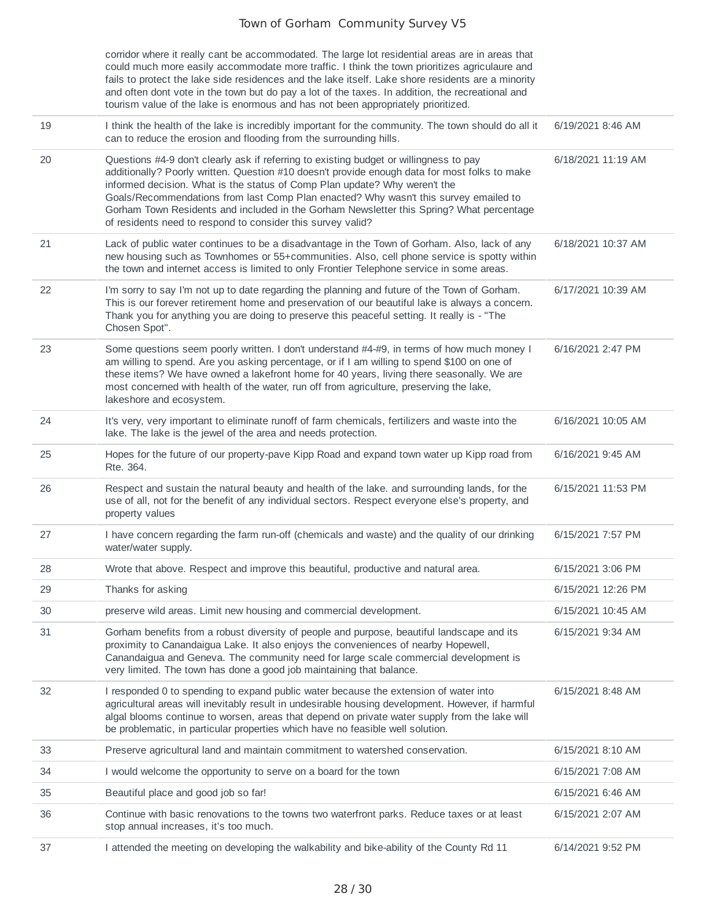corridor where it really cant be accommodated. The large lot residential areas are in areas that could much more easily accommodate more traffic. I think the town prioritizes agriculaure and fails to protect the lake side residences and the lake itself. Lake shore residents are a minority and often dont vote in the town but do pay a lot of the taxes. In addition, the recreational and tourism value of the lake is enormous and has not been appropriately prioritized.

| 19 | I think the health of the lake is incredibly important for the community. The town should do all it<br>can to reduce the erosion and flooding from the surrounding hills.                                                                                                                                                                                                                                                                                                                                                | 6/19/2021 8:46 AM  |
|----|--------------------------------------------------------------------------------------------------------------------------------------------------------------------------------------------------------------------------------------------------------------------------------------------------------------------------------------------------------------------------------------------------------------------------------------------------------------------------------------------------------------------------|--------------------|
| 20 | Questions #4-9 don't clearly ask if referring to existing budget or willingness to pay<br>additionally? Poorly written. Question #10 doesn't provide enough data for most folks to make<br>informed decision. What is the status of Comp Plan update? Why weren't the<br>Goals/Recommendations from last Comp Plan enacted? Why wasn't this survey emailed to<br>Gorham Town Residents and included in the Gorham Newsletter this Spring? What percentage<br>of residents need to respond to consider this survey valid? | 6/18/2021 11:19 AM |
| 21 | Lack of public water continues to be a disadvantage in the Town of Gorham. Also, lack of any<br>new housing such as Townhomes or 55+communities. Also, cell phone service is spotty within<br>the town and internet access is limited to only Frontier Telephone service in some areas.                                                                                                                                                                                                                                  | 6/18/2021 10:37 AM |
| 22 | I'm sorry to say I'm not up to date regarding the planning and future of the Town of Gorham.<br>This is our forever retirement home and preservation of our beautiful lake is always a concern.<br>Thank you for anything you are doing to preserve this peaceful setting. It really is - "The<br>Chosen Spot".                                                                                                                                                                                                          | 6/17/2021 10:39 AM |
| 23 | Some questions seem poorly written. I don't understand #4-#9, in terms of how much money I<br>am willing to spend. Are you asking percentage, or if I am willing to spend \$100 on one of<br>these items? We have owned a lakefront home for 40 years, living there seasonally. We are<br>most concerned with health of the water, run off from agriculture, preserving the lake,<br>lakeshore and ecosystem.                                                                                                            | 6/16/2021 2:47 PM  |
| 24 | It's very, very important to eliminate runoff of farm chemicals, fertilizers and waste into the<br>lake. The lake is the jewel of the area and needs protection.                                                                                                                                                                                                                                                                                                                                                         | 6/16/2021 10:05 AM |
| 25 | Hopes for the future of our property-pave Kipp Road and expand town water up Kipp road from<br>Rte. 364.                                                                                                                                                                                                                                                                                                                                                                                                                 | 6/16/2021 9:45 AM  |
| 26 | Respect and sustain the natural beauty and health of the lake. and surrounding lands, for the<br>use of all, not for the benefit of any individual sectors. Respect everyone else's property, and<br>property values                                                                                                                                                                                                                                                                                                     | 6/15/2021 11:53 PM |
| 27 | I have concern regarding the farm run-off (chemicals and waste) and the quality of our drinking<br>water/water supply.                                                                                                                                                                                                                                                                                                                                                                                                   | 6/15/2021 7:57 PM  |
| 28 | Wrote that above. Respect and improve this beautiful, productive and natural area.                                                                                                                                                                                                                                                                                                                                                                                                                                       | 6/15/2021 3:06 PM  |
| 29 | Thanks for asking                                                                                                                                                                                                                                                                                                                                                                                                                                                                                                        | 6/15/2021 12:26 PM |
| 30 | preserve wild areas. Limit new housing and commercial development.                                                                                                                                                                                                                                                                                                                                                                                                                                                       | 6/15/2021 10:45 AM |
| 31 | Gorham benefits from a robust diversity of people and purpose, beautiful landscape and its<br>proximity to Canandaigua Lake. It also enjoys the conveniences of nearby Hopewell,<br>Canandaigua and Geneva. The community need for large scale commercial development is<br>very limited. The town has done a good job maintaining that balance.                                                                                                                                                                         | 6/15/2021 9:34 AM  |
| 32 | I responded 0 to spending to expand public water because the extension of water into<br>agricultural areas will inevitably result in undesirable housing development. However, if harmful<br>algal blooms continue to worsen, areas that depend on private water supply from the lake will<br>be problematic, in particular properties which have no feasible well solution.                                                                                                                                             | 6/15/2021 8:48 AM  |
| 33 | Preserve agricultural land and maintain commitment to watershed conservation.                                                                                                                                                                                                                                                                                                                                                                                                                                            | 6/15/2021 8:10 AM  |
| 34 | I would welcome the opportunity to serve on a board for the town                                                                                                                                                                                                                                                                                                                                                                                                                                                         | 6/15/2021 7:08 AM  |
| 35 | Beautiful place and good job so far!                                                                                                                                                                                                                                                                                                                                                                                                                                                                                     | 6/15/2021 6:46 AM  |
| 36 | Continue with basic renovations to the towns two waterfront parks. Reduce taxes or at least<br>stop annual increases, it's too much.                                                                                                                                                                                                                                                                                                                                                                                     | 6/15/2021 2:07 AM  |
| 37 | I attended the meeting on developing the walkability and bike-ability of the County Rd 11                                                                                                                                                                                                                                                                                                                                                                                                                                | 6/14/2021 9:52 PM  |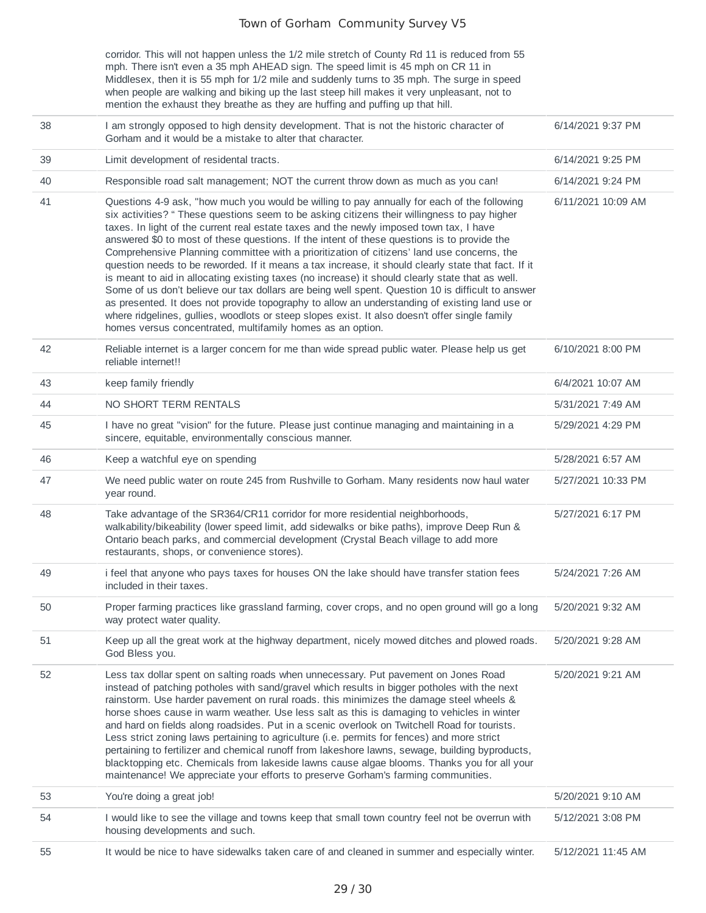corridor. This will not happen unless the 1/2 mile stretch of County Rd 11 is reduced from 55 mph. There isn't even a 35 mph AHEAD sign. The speed limit is 45 mph on CR 11 in Middlesex, then it is 55 mph for 1/2 mile and suddenly turns to 35 mph. The surge in speed when people are walking and biking up the last steep hill makes it very unpleasant, not to mention the exhaust they breathe as they are huffing and puffing up that hill.

| 38 | I am strongly opposed to high density development. That is not the historic character of<br>Gorham and it would be a mistake to alter that character.                                                                                                                                                                                                                                                                                                                                                                                                                                                                                                                                                                                                                                                                                                                                                                                                                                                                                                                 | 6/14/2021 9:37 PM  |
|----|-----------------------------------------------------------------------------------------------------------------------------------------------------------------------------------------------------------------------------------------------------------------------------------------------------------------------------------------------------------------------------------------------------------------------------------------------------------------------------------------------------------------------------------------------------------------------------------------------------------------------------------------------------------------------------------------------------------------------------------------------------------------------------------------------------------------------------------------------------------------------------------------------------------------------------------------------------------------------------------------------------------------------------------------------------------------------|--------------------|
| 39 | Limit development of residental tracts.                                                                                                                                                                                                                                                                                                                                                                                                                                                                                                                                                                                                                                                                                                                                                                                                                                                                                                                                                                                                                               | 6/14/2021 9:25 PM  |
| 40 | Responsible road salt management; NOT the current throw down as much as you can!                                                                                                                                                                                                                                                                                                                                                                                                                                                                                                                                                                                                                                                                                                                                                                                                                                                                                                                                                                                      | 6/14/2021 9:24 PM  |
| 41 | Questions 4-9 ask, "how much you would be willing to pay annually for each of the following<br>six activities? " These questions seem to be asking citizens their willingness to pay higher<br>taxes. In light of the current real estate taxes and the newly imposed town tax, I have<br>answered \$0 to most of these questions. If the intent of these questions is to provide the<br>Comprehensive Planning committee with a prioritization of citizens' land use concerns, the<br>question needs to be reworded. If it means a tax increase, it should clearly state that fact. If it<br>is meant to aid in allocating existing taxes (no increase) it should clearly state that as well.<br>Some of us don't believe our tax dollars are being well spent. Question 10 is difficult to answer<br>as presented. It does not provide topography to allow an understanding of existing land use or<br>where ridgelines, gullies, woodlots or steep slopes exist. It also doesn't offer single family<br>homes versus concentrated, multifamily homes as an option. | 6/11/2021 10:09 AM |
| 42 | Reliable internet is a larger concern for me than wide spread public water. Please help us get<br>reliable internet!!                                                                                                                                                                                                                                                                                                                                                                                                                                                                                                                                                                                                                                                                                                                                                                                                                                                                                                                                                 | 6/10/2021 8:00 PM  |
| 43 | keep family friendly                                                                                                                                                                                                                                                                                                                                                                                                                                                                                                                                                                                                                                                                                                                                                                                                                                                                                                                                                                                                                                                  | 6/4/2021 10:07 AM  |
| 44 | NO SHORT TERM RENTALS                                                                                                                                                                                                                                                                                                                                                                                                                                                                                                                                                                                                                                                                                                                                                                                                                                                                                                                                                                                                                                                 | 5/31/2021 7:49 AM  |
| 45 | I have no great "vision" for the future. Please just continue managing and maintaining in a<br>sincere, equitable, environmentally conscious manner.                                                                                                                                                                                                                                                                                                                                                                                                                                                                                                                                                                                                                                                                                                                                                                                                                                                                                                                  | 5/29/2021 4:29 PM  |
| 46 | Keep a watchful eye on spending                                                                                                                                                                                                                                                                                                                                                                                                                                                                                                                                                                                                                                                                                                                                                                                                                                                                                                                                                                                                                                       | 5/28/2021 6:57 AM  |
| 47 | We need public water on route 245 from Rushville to Gorham. Many residents now haul water<br>year round.                                                                                                                                                                                                                                                                                                                                                                                                                                                                                                                                                                                                                                                                                                                                                                                                                                                                                                                                                              | 5/27/2021 10:33 PM |
| 48 | Take advantage of the SR364/CR11 corridor for more residential neighborhoods,<br>walkability/bikeability (lower speed limit, add sidewalks or bike paths), improve Deep Run &<br>Ontario beach parks, and commercial development (Crystal Beach village to add more<br>restaurants, shops, or convenience stores).                                                                                                                                                                                                                                                                                                                                                                                                                                                                                                                                                                                                                                                                                                                                                    | 5/27/2021 6:17 PM  |
| 49 | i feel that anyone who pays taxes for houses ON the lake should have transfer station fees<br>included in their taxes.                                                                                                                                                                                                                                                                                                                                                                                                                                                                                                                                                                                                                                                                                                                                                                                                                                                                                                                                                | 5/24/2021 7:26 AM  |
| 50 | Proper farming practices like grassland farming, cover crops, and no open ground will go a long<br>way protect water quality.                                                                                                                                                                                                                                                                                                                                                                                                                                                                                                                                                                                                                                                                                                                                                                                                                                                                                                                                         | 5/20/2021 9:32 AM  |
| 51 | Keep up all the great work at the highway department, nicely mowed ditches and plowed roads.<br>God Bless you.                                                                                                                                                                                                                                                                                                                                                                                                                                                                                                                                                                                                                                                                                                                                                                                                                                                                                                                                                        | 5/20/2021 9:28 AM  |
| 52 | Less tax dollar spent on salting roads when unnecessary. Put pavement on Jones Road<br>instead of patching potholes with sand/gravel which results in bigger potholes with the next<br>rainstorm. Use harder pavement on rural roads. this minimizes the damage steel wheels &<br>horse shoes cause in warm weather. Use less salt as this is damaging to vehicles in winter<br>and hard on fields along roadsides. Put in a scenic overlook on Twitchell Road for tourists.<br>Less strict zoning laws pertaining to agriculture (i.e. permits for fences) and more strict<br>pertaining to fertilizer and chemical runoff from lakeshore lawns, sewage, building byproducts,<br>blacktopping etc. Chemicals from lakeside lawns cause algae blooms. Thanks you for all your<br>maintenance! We appreciate your efforts to preserve Gorham's farming communities.                                                                                                                                                                                                    | 5/20/2021 9:21 AM  |
| 53 | You're doing a great job!                                                                                                                                                                                                                                                                                                                                                                                                                                                                                                                                                                                                                                                                                                                                                                                                                                                                                                                                                                                                                                             | 5/20/2021 9:10 AM  |
| 54 | I would like to see the village and towns keep that small town country feel not be overrun with<br>housing developments and such.                                                                                                                                                                                                                                                                                                                                                                                                                                                                                                                                                                                                                                                                                                                                                                                                                                                                                                                                     | 5/12/2021 3:08 PM  |
| 55 | It would be nice to have sidewalks taken care of and cleaned in summer and especially winter.                                                                                                                                                                                                                                                                                                                                                                                                                                                                                                                                                                                                                                                                                                                                                                                                                                                                                                                                                                         | 5/12/2021 11:45 AM |